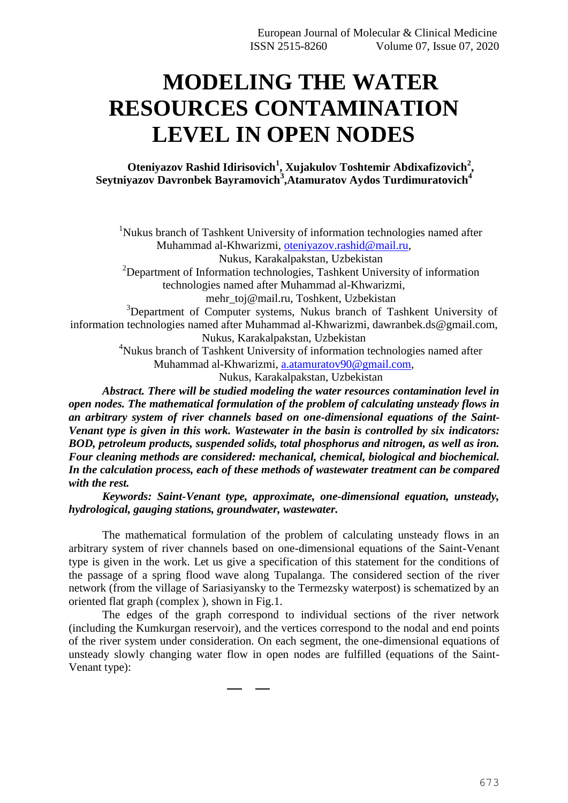# **MODELING THE WATER RESOURCES CONTAMINATION LEVEL IN OPEN NODES**

## **Oteniyazov Rashid Idirisovich<sup>1</sup> , Xujakulov Toshtemir Abdixafizovich<sup>2</sup> ,**   $S$ eytniyazov Davronbek Bayramovich $^3$ ,Atamuratov Aydos Turdimuratovich $^4$

<sup>1</sup>Nukus branch of Tashkent University of information technologies named after Muhammad al-Khwarizmi, [oteniyazov.rashid@mail.ru,](mailto:oteniyazov.rashid@mail.ru) Nukus, Karakalpakstan, Uzbekistan

<sup>2</sup>Department of Information technologies, Tashkent University of information technologies named after Muhammad al-Khwarizmi,

[mehr\\_toj@mail.ru,](mailto:mehr_toj@mail.ru) Toshkent, Uzbekistan

<sup>3</sup>Department of Computer systems, Nukus branch of Tashkent University of information technologies named after Muhammad al-Khwarizm[i, dawranbek.ds@gmail.com,](mailto:dawranbek.ds@gmail.com) Nukus, Karakalpakstan, Uzbekistan

<sup>4</sup>Nukus branch of Tashkent University of information technologies named after Muhammad al-Khwarizmi, [a.atamuratov90@gmail.com,](mailto:a.atamuratov90@gmail.com)

Nukus, Karakalpakstan, Uzbekistan

*Abstract. There will be studied modeling the water resources contamination level in open nodes. The mathematical formulation of the problem of calculating unsteady flows in an arbitrary system of river channels based on one-dimensional equations of the Saint-Venant type is given in this work. Wastewater in the basin is controlled by six indicators: BOD, petroleum products, suspended solids, total phosphorus and nitrogen, as well as iron. Four cleaning methods are considered: mechanical, chemical, biological and biochemical. In the calculation process, each of these methods of wastewater treatment can be compared with the rest.*

*Keywords: Saint-Venant type, approximate, one-dimensional equation, unsteady, hydrological, gauging stations, groundwater, wastewater.*

The mathematical formulation of the problem of calculating unsteady flows in an arbitrary system of river channels based on one-dimensional equations of the Saint-Venant type is given in the work. Let us give a specification of this statement for the conditions of the passage of a spring flood wave along Tupalanga. The considered section of the river network (from the village of Sariasiyansky to the Termezsky waterpost) is schematized by an oriented flat graph (complex ), shown in Fig.1.

The edges of the graph correspond to individual sections of the river network (including the Kumkurgan reservoir), and the vertices correspond to the nodal and end points of the river system under consideration. On each segment, the one-dimensional equations of unsteady slowly changing water flow in open nodes are fulfilled (equations of the Saint-Venant type):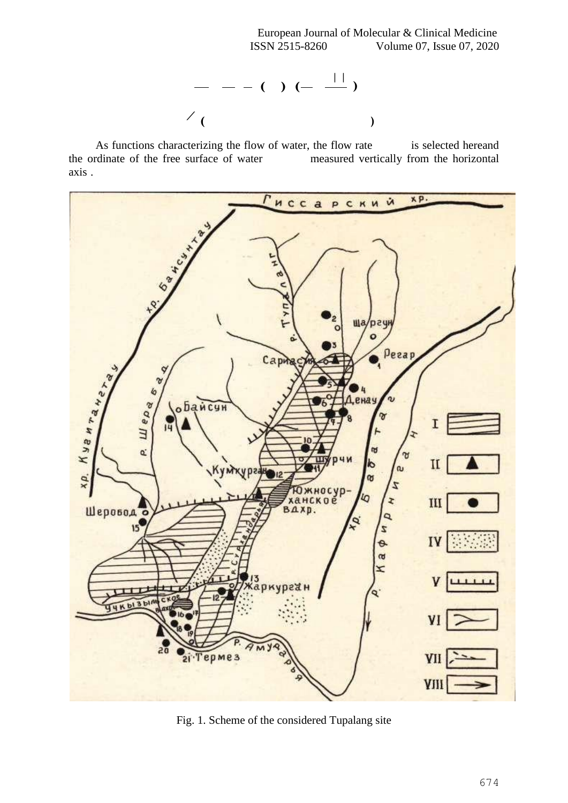European Journal of Molecular & Clinical Medicine ISSN 2515-8260 Volume 07, Issue 07, 2020



As functions characterizing the flow of water, the flow rate is selected hereand the ordinate of the free surface of water measured vertically from the horizontal axis .



Fig. 1. Scheme of the considered Tupalang site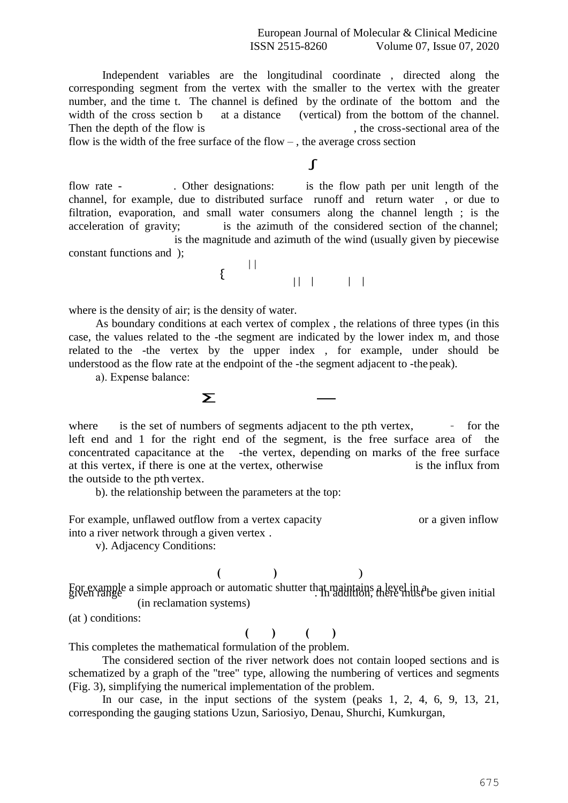European Journal of Molecular & Clinical Medicine ISSN 2515-8260 Volume 07, Issue 07, 2020

Independent variables are the longitudinal coordinate , directed along the corresponding segment from the vertex with the smaller to the vertex with the greater number, and the time t. The channel is defined by the ordinate of the bottom and the width of the cross section b at a distance (vertical) from the bottom of the channel. Then the depth of the flow is , the cross-sectional area of the

flow is the width of the free surface of the flow  $-$ , the average cross section

∫

flow rate - . Other designations: is the flow path per unit length of the channel, for example, due to distributed surface runoff and return water , or due to filtration, evaporation, and small water consumers along the channel length ; is the acceleration of gravity; is the azimuth of the considered section of the channel; is the magnitude and azimuth of the wind (usually given by piecewise constant functions and );



where is the density of air; is the density of water.

As boundary conditions at each vertex of complex , the relations of three types (in this case, the values related to the -the segment are indicated by the lower index m, and those related to the -the vertex by the upper index , for example, under should be understood as the flow rate at the endpoint of the -the segment adjacent to -the peak).

а). Expense balance:

∑

where is the set of numbers of segments adjacent to the pth vertex, – for the left end and 1 for the right end of the segment, is the free surface area of the concentrated capacitance at the -the vertex, depending on marks of the free surface at this vertex, if there is one at the vertex, otherwise is the influx from the outside to the pth vertex.

b). the relationship between the parameters at the top:

For example, unflawed outflow from a vertex capacity or a given inflow into a river network through a given vertex .

v). Adjacency Conditions:

 $($  ) )

For example a simple approach or automatic shutter that maintains a level in a given initial given initial given (in reclamation systems)

(at ) conditions:

## $($  )  $($   $)$

This completes the mathematical formulation of the problem.

The considered section of the river network does not contain looped sections and is schematized by a graph of the "tree" type, allowing the numbering of vertices and segments (Fig. 3), simplifying the numerical implementation of the problem.

In our case, in the input sections of the system (peaks 1, 2, 4, 6, 9, 13, 21, corresponding the gauging stations Uzun, Sariosiyo, Denau, Shurchi, Kumkurgan,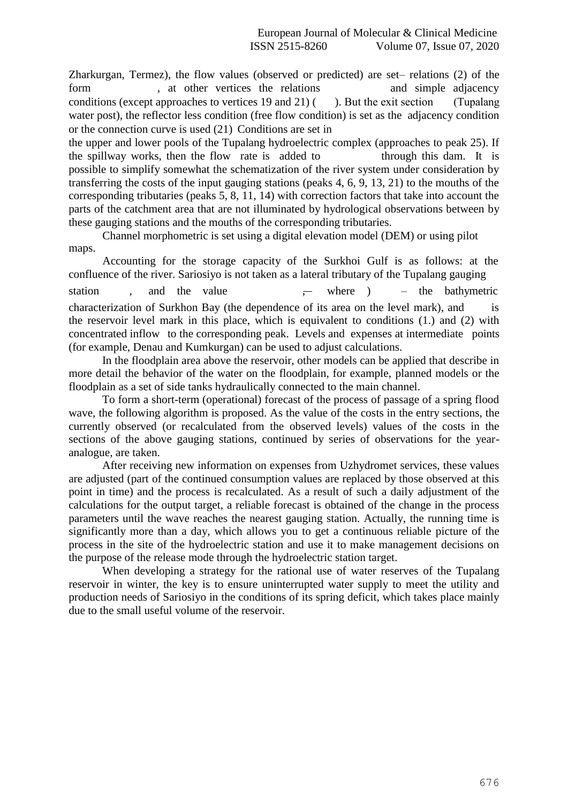Zharkurgan, Termez), the flow values (observed or predicted) are set– relations (2) of the form , at other vertices the relations and simple adjacency conditions (except approaches to vertices 19 and 21) ( ). But the exit section (Tupalang water post), the reflector less condition (free flow condition) is set as the adjacency condition or the connection curve is used (21) Conditions are set in

the upper and lower pools of the Tupalang hydroelectric complex (approaches to peak 25). If the spillway works, then the flow rate is added to through this dam. It is possible to simplify somewhat the schematization of the river system under consideration by transferring the costs of the input gauging stations (peaks 4, 6, 9, 13, 21) to the mouths of the corresponding tributaries (peaks 5, 8, 11, 14) with correction factors that take into account the parts of the catchment area that are not illuminated by hydrological observations between by these gauging stations and the mouths of the corresponding tributaries.

Channel morphometric is set using a digital elevation model (DEM) or using pilot maps.

 concentrated inflow to the corresponding peak. Levels and expenses at intermediate points Accounting for the storage capacity of the Surkhoi Gulf is as follows: at the confluence of the river. Sariosiyo is not taken as a lateral tributary of the Tupalang gauging station , and the value where ) – the bathymetric characterization of Surkhon Bay (the dependence of its area on the level mark), and is the reservoir level mark in this place, which is equivalent to conditions (1.) and (2) with (for example, Denau and Kumkurgan) can be used to adjust calculations.

In the floodplain area above the reservoir, other models can be applied that describe in more detail the behavior of the water on the floodplain, for example, planned models or the floodplain as a set of side tanks hydraulically connected to the main channel.

To form a short-term (operational) forecast of the process of passage of a spring flood wave, the following algorithm is proposed. As the value of the costs in the entry sections, the currently observed (or recalculated from the observed levels) values of the costs in the sections of the above gauging stations, continued by series of observations for the yearanalogue, are taken.

After receiving new information on expenses from Uzhydromet services, these values are adjusted (part of the continued consumption values are replaced by those observed at this point in time) and the process is recalculated. As a result of such a daily adjustment of the calculations for the output target, a reliable forecast is obtained of the change in the process parameters until the wave reaches the nearest gauging station. Actually, the running time is significantly more than a day, which allows you to get a continuous reliable picture of the process in the site of the hydroelectric station and use it to make management decisions on the purpose of the release mode through the hydroelectric station target.

When developing a strategy for the rational use of water reserves of the Tupalang reservoir in winter, the key is to ensure uninterrupted water supply to meet the utility and production needs of Sariosiyo in the conditions of its spring deficit, which takes place mainly due to the small useful volume of the reservoir.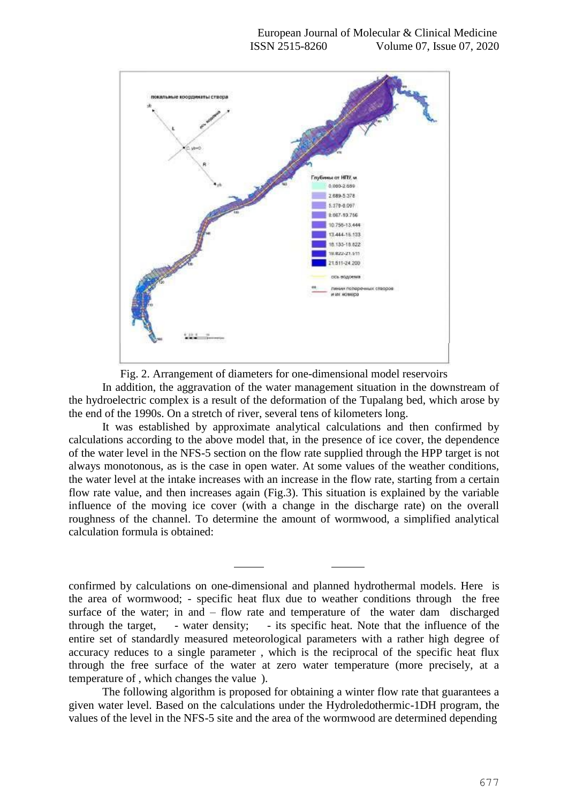



In addition, the aggravation of the water management situation in the downstream of the hydroelectric complex is a result of the deformation of the Tupalang bed, which arose by the end of the 1990s. On a stretch of river, several tens of kilometers long.

It was established by approximate analytical calculations and then confirmed by calculations according to the above model that, in the presence of ice cover, the dependence of the water level in the NFS-5 section on the flow rate supplied through the HPP target is not always monotonous, as is the case in open water. At some values of the weather conditions, the water level at the intake increases with an increase in the flow rate, starting from a certain flow rate value, and then increases again (Fig.3). This situation is explained by the variable influence of the moving ice cover (with a change in the discharge rate) on the overall roughness of the channel. To determine the amount of wormwood, a simplified analytical calculation formula is obtained:

confirmed by calculations on one-dimensional and planned hydrothermal models. Here is the area of wormwood; - specific heat flux due to weather conditions through the free surface of the water; in and – flow rate and temperature of the water dam discharged through the target, - water density; - its specific heat. Note that the influence of the entire set of standardly measured meteorological parameters with a rather high degree of accuracy reduces to a single parameter , which is the reciprocal of the specific heat flux through the free surface of the water at zero water temperature (more precisely, at a temperature of , which changes the value ).

The following algorithm is proposed for obtaining a winter flow rate that guarantees a given water level. Based on the calculations under the Hydroledothermic-1DH program, the values of the level in the NFS-5 site and the area of the wormwood are determined depending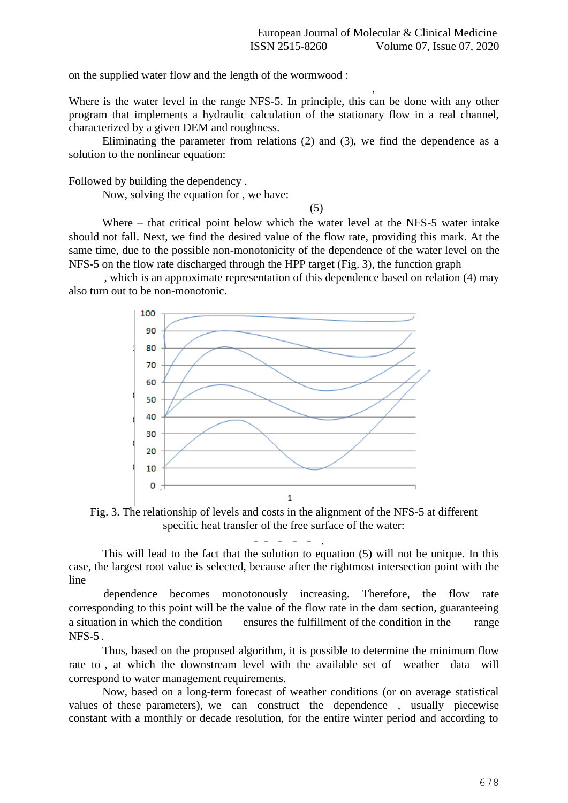on the supplied water flow and the length of the wormwood :

 , Where is the water level in the range NFS-5. In principle, this can be done with any other program that implements a hydraulic calculation of the stationary flow in a real channel, characterized by a given DEM and roughness.

Eliminating the parameter from relations (2) and (3), we find the dependence as a solution to the nonlinear equation:

Followed by building the dependency .

Now, solving the equation for , we have:

(5)

Where – that critical point below which the water level at the NFS-5 water intake should not fall. Next, we find the desired value of the flow rate, providing this mark. At the same time, due to the possible non-monotonicity of the dependence of the water level on the NFS-5 on the flow rate discharged through the HPP target (Fig. 3), the function graph

, which is an approximate representation of this dependence based on relation (4) may also turn out to be non-monotonic.



Fig. 3. The relationship of levels and costs in the alignment of the NFS-5 at different specific heat transfer of the free surface of the water:

– – – – – .

This will lead to the fact that the solution to equation (5) will not be unique. In this case, the largest root value is selected, because after the rightmost intersection point with the line

dependence becomes monotonously increasing. Therefore, the flow rate corresponding to this point will be the value of the flow rate in the dam section, guaranteeing a situation in which the condition ensures the fulfillment of the condition in the range  $NFS-5$ .

Thus, based on the proposed algorithm, it is possible to determine the minimum flow rate to , at which the downstream level with the available set of weather data will correspond to water management requirements.

Now, based on a long-term forecast of weather conditions (or on average statistical values of these parameters), we can construct the dependence , usually piecewise constant with a monthly or decade resolution, for the entire winter period and according to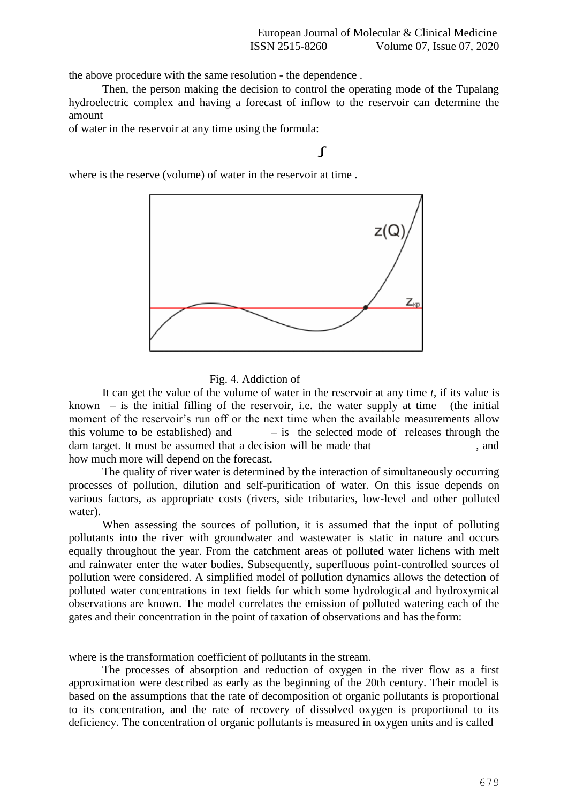the above procedure with the same resolution - the dependence .

Then, the person making the decision to control the operating mode of the Tupalang hydroelectric complex and having a forecast of inflow to the reservoir can determine the amount

of water in the reservoir at any time using the formula:

## ∫

where is the reserve (volume) of water in the reservoir at time .



### Fig. 4. Addiction of

It can get the value of the volume of water in the reservoir at any time *t*, if its value is known – is the initial filling of the reservoir, i.e. the water supply at time (the initial moment of the reservoir's run off or the next time when the available measurements allow this volume to be established) and  $-$  is the selected mode of releases through the dam target. It must be assumed that a decision will be made that , and how much more will depend on the forecast.

The quality of river water is determined by the interaction of simultaneously occurring processes of pollution, dilution and self-purification of water. On this issue depends on various factors, as appropriate costs (rivers, side tributaries, low-level and other polluted water).

When assessing the sources of pollution, it is assumed that the input of polluting pollutants into the river with groundwater and wastewater is static in nature and occurs equally throughout the year. From the catchment areas of polluted water lichens with melt and rainwater enter the water bodies. Subsequently, superfluous point-controlled sources of pollution were considered. A simplified model of pollution dynamics allows the detection of polluted water concentrations in text fields for which some hydrological and hydroxymical observations are known. The model correlates the emission of polluted watering each of the gates and their concentration in the point of taxation of observations and has the form:

Ϊ where is the transformation coefficient of pollutants in the stream.

The processes of absorption and reduction of oxygen in the river flow as a first approximation were described as early as the beginning of the 20th century. Their model is based on the assumptions that the rate of decomposition of organic pollutants is proportional to its concentration, and the rate of recovery of dissolved oxygen is proportional to its deficiency. The concentration of organic pollutants is measured in oxygen units and is called